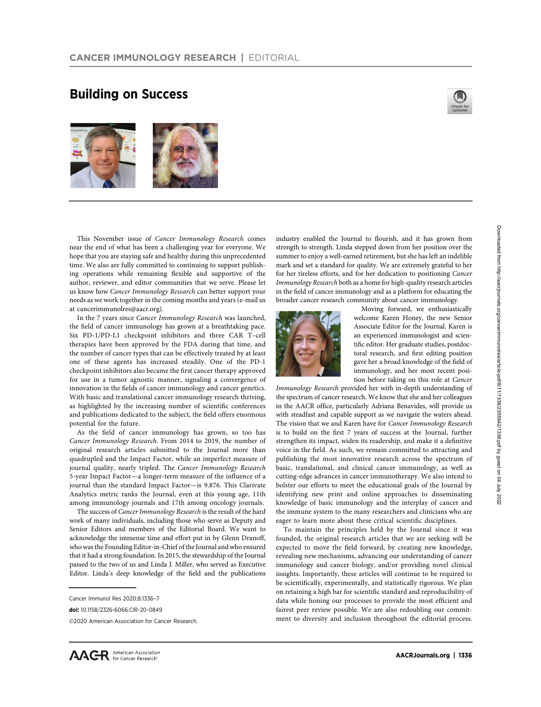## Building on Success





This November issue of Cancer Immunology Research comes near the end of what has been a challenging year for everyone. We hope that you are staying safe and healthy during this unprecedented time. We also are fully committed to continuing to support publishing operations while remaining flexible and supportive of the author, reviewer, and editor communities that we serve. Please let us know how Cancer Immunology Research can better support your needs as we work together in the coming months and years (e-mail us at [cancerimmunolres@aacr.org](https://cancerimmunolres@aacr.org)).

In the 7 years since Cancer Immunology Research was launched, the field of cancer immunology has grown at a breathtaking pace. Six PD-1/PD-L1 checkpoint inhibitors and three CAR T–cell therapies have been approved by the FDA during that time, and the number of cancer types that can be effectively treated by at least one of these agents has increased steadily. One of the PD-1 checkpoint inhibitors also became the first cancer therapy approved for use in a tumor agnostic manner, signaling a convergence of innovation in the fields of cancer immunology and cancer genetics. With basic and translational cancer immunology research thriving, as highlighted by the increasing number of scientific conferences and publications dedicated to the subject, the field offers enormous potential for the future.

As the field of cancer immunology has grown, so too has Cancer Immunology Research. From 2014 to 2019, the number of original research articles submitted to the Journal more than quadrupled and the Impact Factor, while an imperfect measure of journal quality, nearly tripled. The Cancer Immunology Research 5-year Impact Factor—a longer-term measure of the influence of a journal than the standard Impact Factor—is 9.876. This Clarivate Analytics metric ranks the Journal, even at this young age, 11th among immunology journals and 17th among oncology journals.

The success of Cancer Immunology Research is the result of the hard work of many individuals, including those who serve as Deputy and Senior Editors and members of the Editorial Board. We want to acknowledge the immense time and effort put in by Glenn Dranoff, who was the Founding Editor-in-Chief of the Journal and who ensured that it had a strong foundation. In 2015, the stewardship of the Journal passed to the two of us and Linda J. Miller, who served as Executive Editor. Linda's deep knowledge of the field and the publications industry enabled the Journal to flourish, and it has grown from strength to strength. Linda stepped down from her position over the summer to enjoy a well-earned retirement, but she has left an indelible mark and set a standard for quality. We are extremely grateful to her for her tireless efforts, and for her dedication to positioning Cancer Immunology Research both as a home for high-quality research articles in the field of cancer immunology and as a platform for educating the broader cancer research community about cancer immunology.



Moving forward, we enthusiastically welcome Karen Honey, the new Senior Associate Editor for the Journal. Karen is an experienced immunologist and scientific editor. Her graduate studies, postdoctoral research, and first editing position gave her a broad knowledge of the field of immunology, and her most recent position before taking on this role at Cancer

Immunology Research provided her with in-depth understanding of the spectrum of cancer research. We know that she and her colleagues in the AACR office, particularly Adriana Benavides, will provide us with steadfast and capable support as we navigate the waters ahead. The vision that we and Karen have for Cancer Immunology Research is to build on the first 7 years of success at the Journal, further strengthen its impact, widen its readership, and make it a definitive voice in the field. As such, we remain committed to attracting and publishing the most innovative research across the spectrum of basic, translational, and clinical cancer immunology, as well as cutting-edge advances in cancer immunotherapy. We also intend to bolster our efforts to meet the educational goals of the Journal by identifying new print and online approaches to disseminating knowledge of basic immunology and the interplay of cancer and the immune system to the many researchers and clinicians who are eager to learn more about these critical scientific disciplines.

To maintain the principles held by the Journal since it was founded, the original research articles that we are seeking will be expected to move the field forward, by creating new knowledge, revealing new mechanisms, advancing our understanding of cancer immunology and cancer biology, and/or providing novel clinical insights. Importantly, these articles will continue to be required to be scientifically, experimentally, and statistically rigorous. We plan on retaining a high bar for scientific standard and reproducibility of data while honing our processes to provide the most efficient and fairest peer review possible. We are also redoubling our commitment to diversity and inclusion throughout the editorial process.

Cancer Immunol Res 2020;8:1336–7

doi: 10.1158/2326-6066.CIR-20-0849

<sup>2020</sup> American Association for Cancer Research.